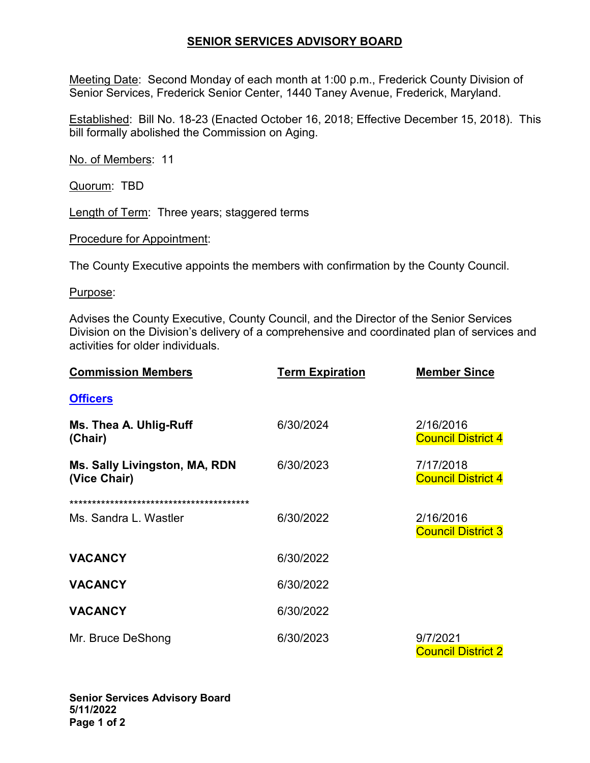## **SENIOR SERVICES ADVISORY BOARD**

Meeting Date: Second Monday of each month at 1:00 p.m., Frederick County Division of Senior Services, Frederick Senior Center, 1440 Taney Avenue, Frederick, Maryland.

Established: Bill No. 18-23 (Enacted October 16, 2018; Effective December 15, 2018). This bill formally abolished the Commission on Aging.

No. of Members: 11

Quorum: TBD

Length of Term: Three years; staggered terms

Procedure for Appointment:

The County Executive appoints the members with confirmation by the County Council.

Purpose:

Advises the County Executive, County Council, and the Director of the Senior Services Division on the Division's delivery of a comprehensive and coordinated plan of services and activities for older individuals.

| <b>Commission Members</b>                     | <b>Term Expiration</b> | <b>Member Since</b>                    |
|-----------------------------------------------|------------------------|----------------------------------------|
| <b>Officers</b>                               |                        |                                        |
| Ms. Thea A. Uhlig-Ruff<br>(Chair)             | 6/30/2024              | 2/16/2016<br><b>Council District 4</b> |
| Ms. Sally Livingston, MA, RDN<br>(Vice Chair) | 6/30/2023              | 7/17/2018<br><b>Council District 4</b> |
|                                               |                        |                                        |
| Ms. Sandra L. Wastler                         | 6/30/2022              | 2/16/2016<br><b>Council District 3</b> |
| <b>VACANCY</b>                                | 6/30/2022              |                                        |
| <b>VACANCY</b>                                | 6/30/2022              |                                        |
| <b>VACANCY</b>                                | 6/30/2022              |                                        |
| Mr. Bruce DeShong                             | 6/30/2023              | 9/7/2021<br><b>Council District 2</b>  |